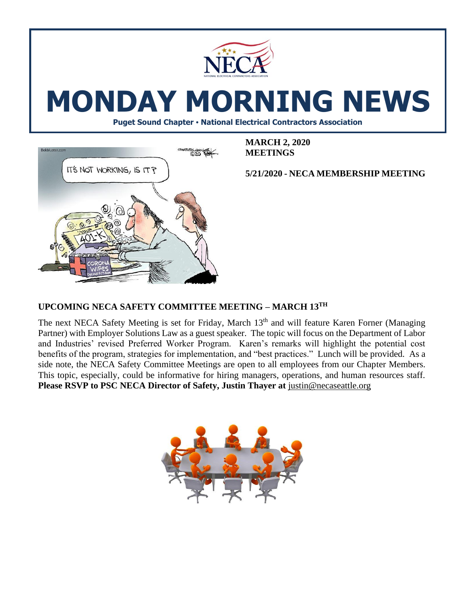

# **MONDAY MORNING NEWS**

**Puget Sound Chapter • National Electrical Contractors Association**



**MARCH 2, 2020 MEETINGS**

**5/21/2020 - NECA MEMBERSHIP MEETING** 

# **UPCOMING NECA SAFETY COMMITTEE MEETING – MARCH 13TH**

The next NECA Safety Meeting is set for Friday, March 13<sup>th</sup> and will feature Karen Forner (Managing Partner) with Employer Solutions Law as a guest speaker. The topic will focus on the Department of Labor and Industries' revised Preferred Worker Program. Karen's remarks will highlight the potential cost benefits of the program, strategies for implementation, and "best practices."Lunch will be provided. As a side note, the NECA Safety Committee Meetings are open to all employees from our Chapter Members. This topic, especially, could be informative for hiring managers, operations, and human resources staff. **Please RSVP to PSC NECA Director of Safety, Justin Thayer at [justin@necaseattle.org](mailto:justin@necaseattle.org)** 

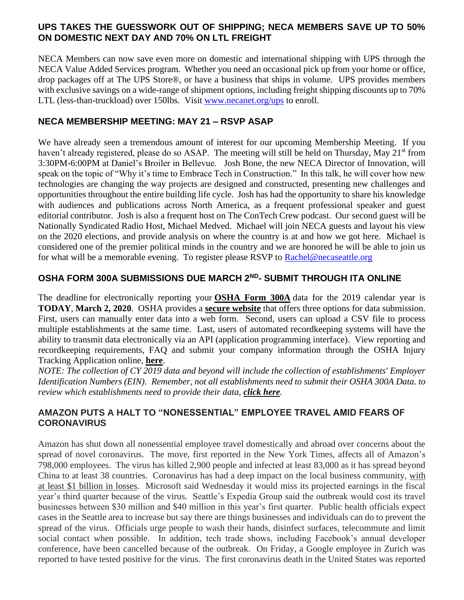#### **UPS TAKES THE GUESSWORK OUT OF SHIPPING; NECA MEMBERS SAVE UP TO 50% ON DOMESTIC NEXT DAY AND 70% ON LTL FREIGHT**

NECA Members can now save even more on domestic and international shipping with UPS through the NECA Value Added Services program. Whether you need an occasional pick up from your home or office, drop packages off at The UPS Store®, or have a business that ships in volume. UPS provides members with exclusive savings on a wide-range of shipment options, including freight shipping discounts up to 70% LTL (less-than-truckload) over 150lbs. Visit [www.necanet.org/ups](http://www.necanet.org/ups) to enroll.

#### **NECA MEMBERSHIP MEETING: MAY 21 – RSVP ASAP**

We have already seen a tremendous amount of interest for our upcoming Membership Meeting. If you haven't already registered, please do so ASAP. The meeting will still be held on Thursday, May 21<sup>st</sup> from 3:30PM-6:00PM at Daniel's Broiler in Bellevue. Josh Bone, the new NECA Director of Innovation, will speak on the topic of "Why it's time to Embrace Tech in Construction." In this talk, he will cover how new technologies are changing the way projects are designed and constructed, presenting new challenges and opportunities throughout the entire building life cycle. Josh has had the opportunity to share his knowledge with audiences and publications across North America, as a frequent professional speaker and guest editorial contributor. Josh is also a frequent host on The ConTech Crew podcast. Our second guest will be Nationally Syndicated Radio Host, Michael Medved. Michael will join NECA guests and layout his view on the 2020 elections, and provide analysis on where the country is at and how we got here. Michael is considered one of the premier political minds in the country and we are honored he will be able to join us for what will be a memorable evening. To register please RSVP to [Rachel@necaseattle.org](mailto:Rachel@necaseattle.org)

## **OSHA FORM 300A SUBMISSIONS DUE MARCH 2ND- SUBMIT THROUGH ITA ONLINE**

The deadline for electronically reporting your **[OSHA Form 300A](https://www.osha.gov/recordkeeping/RKforms.html)** data for the 2019 calendar year is **TODAY**, **March 2, 2020**. OSHA provides a **[secure website](https://www.osha.gov/injuryreporting/ita/)** that offers three options for data submission. First, users can manually enter data into a web form. Second, users can upload a CSV file to process multiple establishments at the same time. Last, users of automated recordkeeping systems will have the ability to transmit data electronically via an API (application programming interface). View reporting and recordkeeping requirements, FAQ and submit your company information through the OSHA Injury Tracking Application online, **[here](https://www.osha.gov/injuryreporting/index.html)**.

*NOTE: The collection of CY 2019 data and beyond will include the collection of establishments' Employer Identification Numbers (EIN). Remember, not all establishments need to submit their OSHA 300A Data. to review which establishments need to provide their data, [click here](https://www.osha.gov/injuryreporting/index.html#clickhere).*

## **AMAZON PUTS A HALT TO "NONESSENTIAL" EMPLOYEE TRAVEL AMID FEARS OF CORONAVIRUS**

Amazon has shut down all nonessential employee travel domestically and abroad over concerns about the spread of novel coronavirus. The move, first reported in the New York Times, affects all of Amazon's 798,000 employees. The virus has killed 2,900 people and infected at least 83,000 as it has spread beyond China to at least 38 countries. Coronavirus has had a deep impact on the local business community, [with](https://www.bizjournals.com/seattle/news/2020/02/27/coronavirus-outbreak-seattle-businesses-china.html?iana=hpmvp_sea_news_headline)  [at least \\$1 billion in losses.](https://www.bizjournals.com/seattle/news/2020/02/27/coronavirus-outbreak-seattle-businesses-china.html?iana=hpmvp_sea_news_headline) Microsoft said Wednesday it would miss its projected earnings in the fiscal year's third quarter because of the virus. Seattle's Expedia Group said the outbreak would cost its travel businesses between \$30 million and \$40 million in this year's first quarter. Public health officials expect cases in the Seattle area to increase but say there are things businesses and individuals can do to prevent the spread of the virus. Officials urge people to wash their hands, disinfect surfaces, telecommute and limit social contact when possible. In addition, tech trade shows, including Facebook's annual developer conference, have been cancelled because of the outbreak. On Friday, a Google employee in Zurich was reported to have tested positive for the virus. The first coronavirus death in the United States was reported